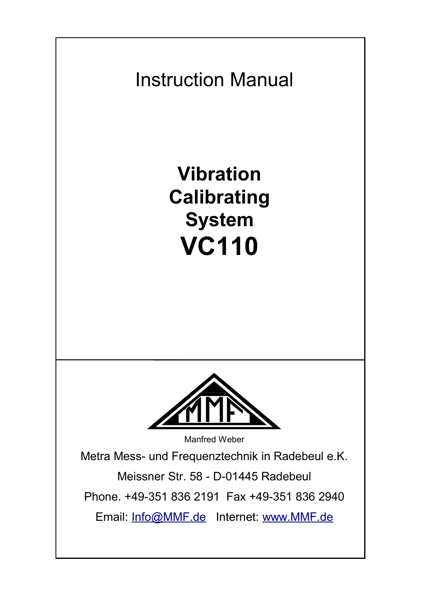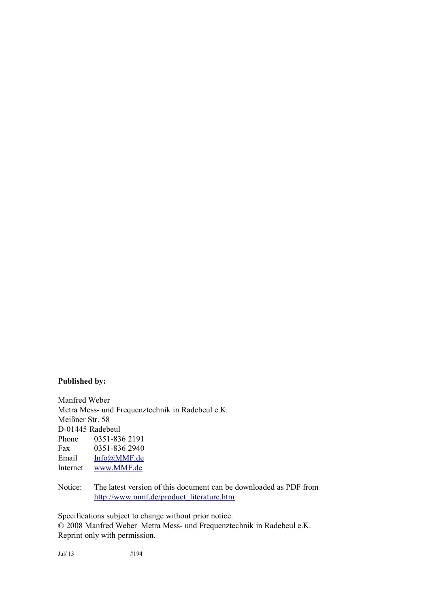#### **Published by:**

Manfred Weber Metra Mess- und Frequenztechnik in Radebeul e.K. Meißner Str. 58 D-01445 Radebeul Phone 0351-836 2191 Fax 0351-836 2940<br>Email Info@MMF.de [Info@MMF.de](mailto:info@mmf.de) Internet [www.MMF.de](http://www.mmf.de/)

Notice: The latest version of this document can be downloaded as PDF from [http://www.mmf.de/product\\_literature.htm](http://www.mmf.de/produktliteratur.htm)

Specifications subject to change without prior notice.

© 2008 Manfred Weber Metra Mess- und Frequenztechnik in Radebeul e.K. Reprint only with permission.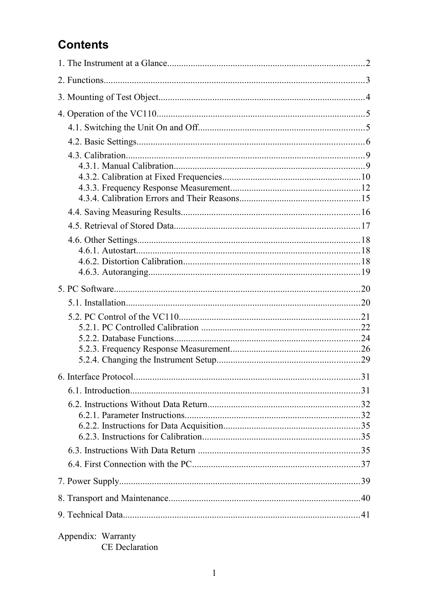## **Contents**

| Appendix: Warranty<br>CE Declaration |  |
|--------------------------------------|--|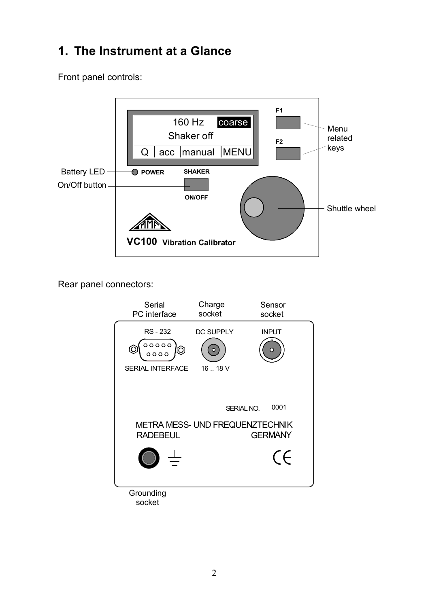# **1. The Instrument at a Glance**

Front panel controls:



Rear panel connectors:

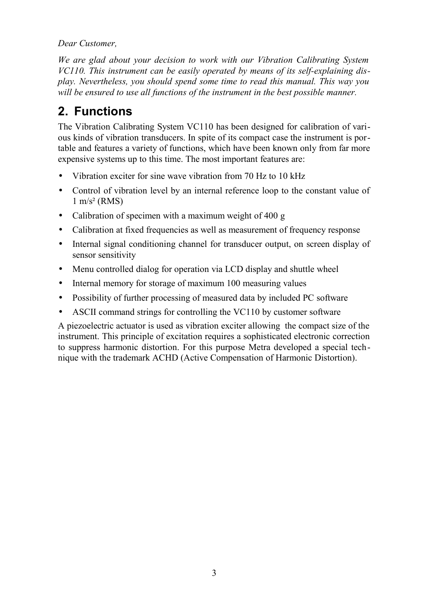*Dear Customer,*

*We are glad about your decision to work with our Vibration Calibrating System VC110. This instrument can be easily operated by means of its self-explaining display. Nevertheless, you should spend some time to read this manual. This way you will be ensured to use all functions of the instrument in the best possible manner.*

# **2. Functions**

The Vibration Calibrating System VC110 has been designed for calibration of various kinds of vibration transducers. In spite of its compact case the instrument is portable and features a variety of functions, which have been known only from far more expensive systems up to this time. The most important features are:

- Vibration exciter for sine wave vibration from 70 Hz to 10 kHz
- Control of vibration level by an internal reference loop to the constant value of  $1 \text{ m/s}^2$  (RMS)
- Calibration of specimen with a maximum weight of 400 g
- Calibration at fixed frequencies as well as measurement of frequency response
- Internal signal conditioning channel for transducer output, on screen display of sensor sensitivity
- Menu controlled dialog for operation via LCD display and shuttle wheel
- Internal memory for storage of maximum 100 measuring values
- Possibility of further processing of measured data by included PC software
- ASCII command strings for controlling the VC110 by customer software

A piezoelectric actuator is used as vibration exciter allowing the compact size of the instrument. This principle of excitation requires a sophisticated electronic correction to suppress harmonic distortion. For this purpose Metra developed a special technique with the trademark ACHD (Active Compensation of Harmonic Distortion).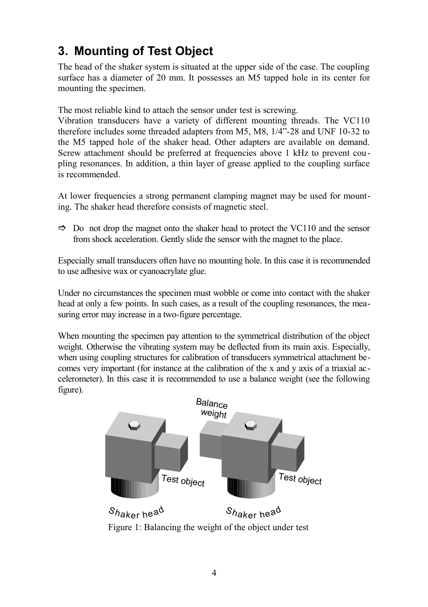# **3. Mounting of Test Object**

The head of the shaker system is situated at the upper side of the case. The coupling surface has a diameter of 20 mm. It possesses an M5 tapped hole in its center for mounting the specimen.

The most reliable kind to attach the sensor under test is screwing.

Vibration transducers have a variety of different mounting threads. The VC110 therefore includes some threaded adapters from M5, M8, 1/4"-28 and UNF 10-32 to the M5 tapped hole of the shaker head. Other adapters are available on demand. Screw attachment should be preferred at frequencies above 1 kHz to prevent coupling resonances. In addition, a thin layer of grease applied to the coupling surface is recommended.

At lower frequencies a strong permanent clamping magnet may be used for mounting. The shaker head therefore consists of magnetic steel.

 $\Rightarrow$  Do not drop the magnet onto the shaker head to protect the VC110 and the sensor from shock acceleration. Gently slide the sensor with the magnet to the place.

Especially small transducers often have no mounting hole. In this case it is recommended to use adhesive wax or cyanoacrylate glue.

Under no circumstances the specimen must wobble or come into contact with the shaker head at only a few points. In such cases, as a result of the coupling resonances, the measuring error may increase in a two-figure percentage.

When mounting the specimen pay attention to the symmetrical distribution of the object weight. Otherwise the vibrating system may be deflected from its main axis. Especially, when using coupling structures for calibration of transducers symmetrical attachment becomes very important (for instance at the calibration of the x and y axis of a triaxial accelerometer). In this case it is recommended to use a balance weight (see the following figure).

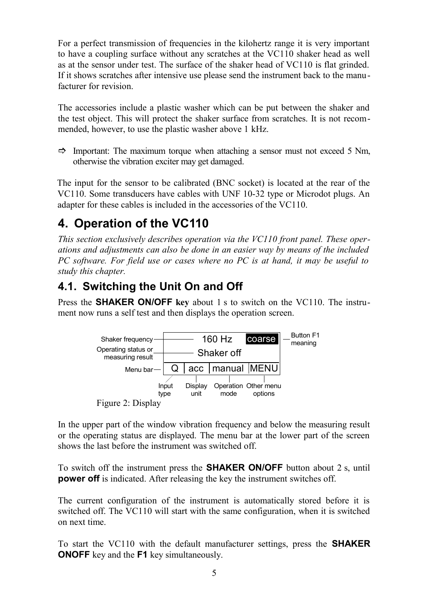For a perfect transmission of frequencies in the kilohertz range it is very important to have a coupling surface without any scratches at the VC110 shaker head as well as at the sensor under test. The surface of the shaker head of VC110 is flat grinded. If it shows scratches after intensive use please send the instrument back to the manufacturer for revision.

The accessories include a plastic washer which can be put between the shaker and the test object. This will protect the shaker surface from scratches. It is not recommended, however, to use the plastic washer above 1 kHz.

 $\Rightarrow$  Important: The maximum torque when attaching a sensor must not exceed 5 Nm, otherwise the vibration exciter may get damaged.

The input for the sensor to be calibrated (BNC socket) is located at the rear of the VC110. Some transducers have cables with UNF 10-32 type or Microdot plugs. An adapter for these cables is included in the accessories of the VC110.

# **4. Operation of the VC110**

*This section exclusively describes operation via the VC110 front panel. These operations and adjustments can also be done in an easier way by means of the included PC software. For field use or cases where no PC is at hand, it may be useful to study this chapter.*

## <span id="page-6-0"></span>**4.1. Switching the Unit On and Off**

Press the **SHAKER ON/OFF key** about 1 s to switch on the VC110. The instrument now runs a self test and then displays the operation screen.



In the upper part of the window vibration frequency and below the measuring result or the operating status are displayed. The menu bar at the lower part of the screen shows the last before the instrument was switched off.

To switch off the instrument press the **SHAKER ON/OFF** button about 2 s, until **power off** is indicated. After releasing the key the instrument switches off.

The current configuration of the instrument is automatically stored before it is switched off. The VC110 will start with the same configuration, when it is switched on next time.

To start the VC110 with the default manufacturer settings, press the **SHAKER ONOFF** key and the **F1** key simultaneously.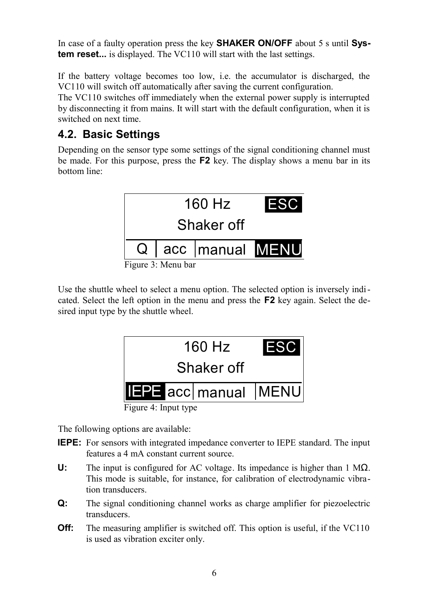In case of a faulty operation press the key **SHAKER ON/OFF** about 5 s until **System reset...** is displayed. The VC110 will start with the last settings.

If the battery voltage becomes too low, i.e. the accumulator is discharged, the VC110 will switch off automatically after saving the current configuration.

The VC110 switches off immediately when the external power supply is interrupted by disconnecting it from mains. It will start with the default configuration, when it is switched on next time.

## <span id="page-7-0"></span>**4.2. Basic Settings**

Depending on the sensor type some settings of the signal conditioning channel must be made. For this purpose, press the **F2** key. The display shows a menu bar in its bottom line:



Figure 3: Menu bar

Use the shuttle wheel to select a menu option. The selected option is inversely indicated. Select the left option in the menu and press the **F2** key again. Select the desired input type by the shuttle wheel.



Figure 4: Input type

The following options are available:

- **IEPE:** For sensors with integrated impedance converter to IEPE standard. The input features a 4 mA constant current source.
- **U:** The input is configured for AC voltage. Its impedance is higher than 1 MΩ. This mode is suitable, for instance, for calibration of electrodynamic vibration transducers.
- **Q:** The signal conditioning channel works as charge amplifier for piezoelectric transducers.
- **Off:** The measuring amplifier is switched off. This option is useful, if the VC110 is used as vibration exciter only.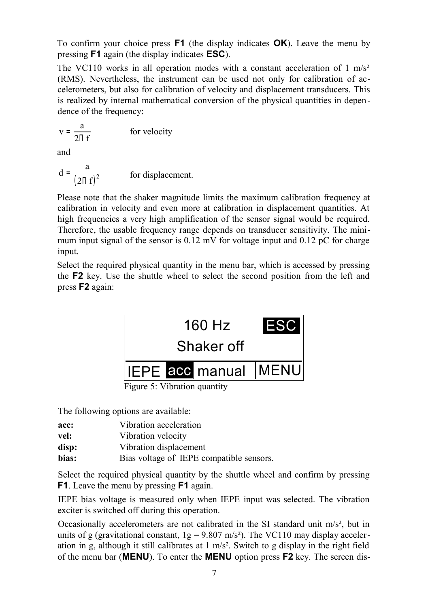To confirm your choice press **F1** (the display indicates **OK**). Leave the menu by pressing **F1** again (the display indicates **ESC**).

The VC110 works in all operation modes with a constant acceleration of  $1 \text{ m/s}^2$ (RMS). Nevertheless, the instrument can be used not only for calibration of accelerometers, but also for calibration of velocity and displacement transducers. This is realized by internal mathematical conversion of the physical quantities in dependence of the frequency:

$$
v = \frac{a}{2\pi f}
$$
 for velocity

and

$$
d = \frac{a}{(2\pi f)^2}
$$
 for displacement.

Please note that the shaker magnitude limits the maximum calibration frequency at calibration in velocity and even more at calibration in displacement quantities. At high frequencies a very high amplification of the sensor signal would be required. Therefore, the usable frequency range depends on transducer sensitivity. The minimum input signal of the sensor is 0.12 mV for voltage input and 0.12 pC for charge input.

Select the required physical quantity in the menu bar, which is accessed by pressing the **F2** key. Use the shuttle wheel to select the second position from the left and press **F2** again:



Figure 5: Vibration quantity

The following options are available:

| acc: | Vibration acceleration |  |
|------|------------------------|--|
|      |                        |  |

- **vel:** Vibration velocity
- **disp:** Vibration displacement
- **bias:** Bias voltage of IEPE compatible sensors.

Select the required physical quantity by the shuttle wheel and confirm by pressing **F1**. Leave the menu by pressing **F1** again.

IEPE bias voltage is measured only when IEPE input was selected. The vibration exciter is switched off during this operation.

Occasionally accelerometers are not calibrated in the SI standard unit m/s², but in units of g (gravitational constant,  $1g = 9.807$  m/s<sup>2</sup>). The VC110 may display acceleration in g, although it still calibrates at 1 m/s². Switch to g display in the right field of the menu bar (**MENU**). To enter the **MENU** option press **F2** key. The screen dis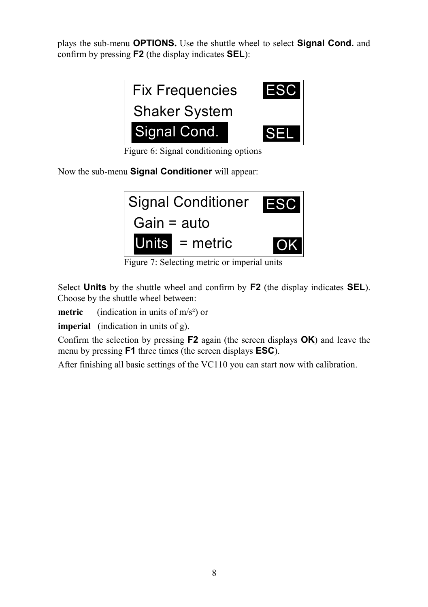plays the sub-menu **OPTIONS.** Use the shuttle wheel to select **Signal Cond.** and confirm by pressing **F2** (the display indicates **SEL**):



Figure 6: Signal conditioning options

Now the sub-menu **Signal Conditioner** will appear:



Figure 7: Selecting metric or imperial units

Select **Units** by the shuttle wheel and confirm by **F2** (the display indicates **SEL**). Choose by the shuttle wheel between:

**metric** (indication in units of m/s<sup>2</sup>) or

**imperial** (indication in units of g).

Confirm the selection by pressing **F2** again (the screen displays **OK**) and leave the menu by pressing **F1** three times (the screen displays **ESC**).

After finishing all basic settings of the VC110 you can start now with calibration.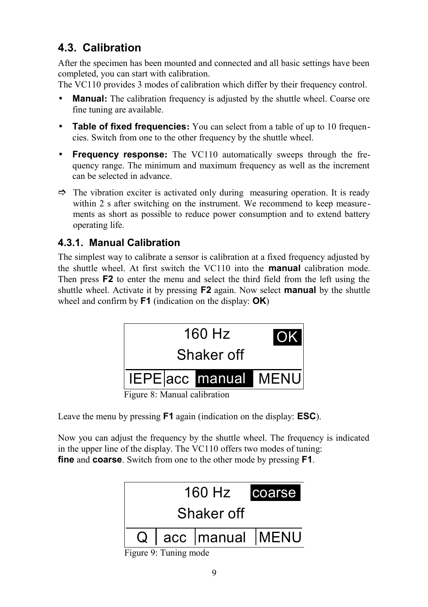## **4.3. Calibration**

After the specimen has been mounted and connected and all basic settings have been completed, you can start with calibration.

The VC110 provides 3 modes of calibration which differ by their frequency control.

- **Manual:** The calibration frequency is adjusted by the shuttle wheel. Coarse ore fine tuning are available.
- **Table of fixed frequencies:** You can select from a table of up to 10 frequencies. Switch from one to the other frequency by the shuttle wheel.
- **Frequency response:** The VC110 automatically sweeps through the frequency range. The minimum and maximum frequency as well as the increment can be selected in advance.
- $\Rightarrow$  The vibration exciter is activated only during measuring operation. It is ready within 2 s after switching on the instrument. We recommend to keep measurements as short as possible to reduce power consumption and to extend battery operating life.

## **4.3.1. Manual Calibration**

The simplest way to calibrate a sensor is calibration at a fixed frequency adjusted by the shuttle wheel. At first switch the VC110 into the **manual** calibration mode. Then press **F2** to enter the menu and select the third field from the left using the shuttle wheel. Activate it by pressing **F2** again. Now select **manual** by the shuttle wheel and confirm by **F1** (indication on the display: **OK**)



Figure 8: Manual calibration

Leave the menu by pressing **F1** again (indication on the display: **ESC**).

Now you can adjust the frequency by the shuttle wheel. The frequency is indicated in the upper line of the display. The VC110 offers two modes of tuning: **fine** and **coarse**. Switch from one to the other mode by pressing **F1**.



Figure 9: Tuning mode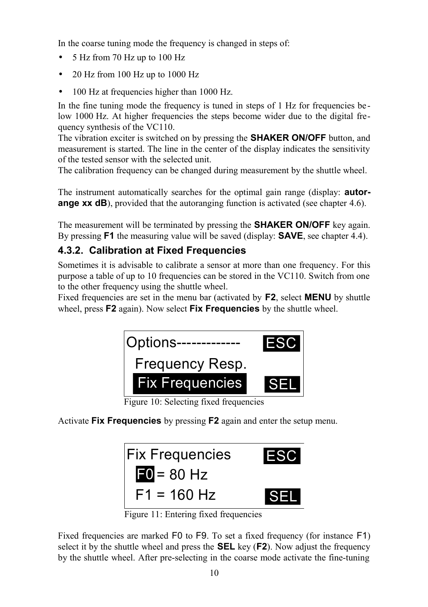In the coarse tuning mode the frequency is changed in steps of:

- 5 Hz from 70 Hz up to 100 Hz
- 20 Hz from 100 Hz up to 1000 Hz
- 100 Hz at frequencies higher than 1000 Hz.

In the fine tuning mode the frequency is tuned in steps of 1 Hz for frequencies be low 1000 Hz. At higher frequencies the steps become wider due to the digital frequency synthesis of the VC110.

The vibration exciter is switched on by pressing the **SHAKER ON/OFF** button, and measurement is started. The line in the center of the display indicates the sensitivity of the tested sensor with the selected unit.

The calibration frequency can be changed during measurement by the shuttle wheel.

The instrument automatically searches for the optimal gain range (display: **autorange xx dB**), provided that the autoranging function is activated (see chapter [4.6\)](#page-19-0).

The measurement will be terminated by pressing the **SHAKER ON/OFF** key again. By pressing **F1** the measuring value will be saved (display: **SAVE**, see chapter [4.4\)](#page-17-0).

## <span id="page-11-0"></span>**4.3.2. Calibration at Fixed Frequencies**

Sometimes it is advisable to calibrate a sensor at more than one frequency. For this purpose a table of up to 10 frequencies can be stored in the VC110. Switch from one to the other frequency using the shuttle wheel.

Fixed frequencies are set in the menu bar (activated by **F2**, select **MENU** by shuttle wheel, press **F2** again). Now select **Fix Frequencies** by the shuttle wheel.



Figure 10: Selecting fixed frequencies

Activate **Fix Frequencies** by pressing **F2** again and enter the setup menu.



Figure 11: Entering fixed frequencies

Fixed frequencies are marked F0 to F9. To set a fixed frequency (for instance F1) select it by the shuttle wheel and press the **SEL** key (**F2**). Now adjust the frequency by the shuttle wheel. After pre-selecting in the coarse mode activate the fine-tuning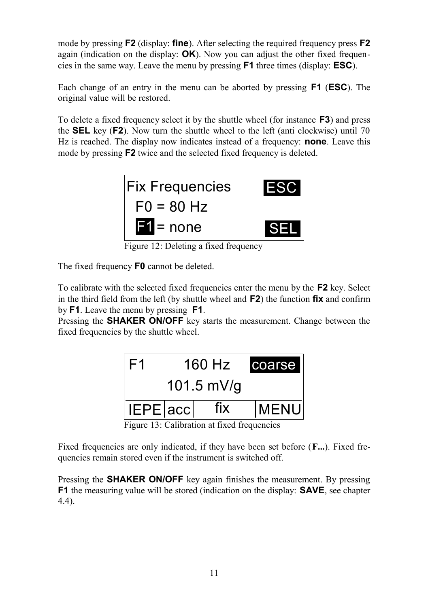mode by pressing **F2** (display: **fine**). After selecting the required frequency press **F2** again (indication on the display: **OK**). Now you can adjust the other fixed frequencies in the same way. Leave the menu by pressing **F1** three times (display: **ESC**).

Each change of an entry in the menu can be aborted by pressing **F1** (**ESC**). The original value will be restored.

To delete a fixed frequency select it by the shuttle wheel (for instance **F3**) and press the **SEL** key (**F2**). Now turn the shuttle wheel to the left (anti clockwise) until 70 Hz is reached. The display now indicates instead of a frequency: **none**. Leave this mode by pressing **F2** twice and the selected fixed frequency is deleted.



Figure 12: Deleting a fixed frequency

The fixed frequency **F0** cannot be deleted.

To calibrate with the selected fixed frequencies enter the menu by the **F2** key. Select in the third field from the left (by shuttle wheel and **F2**) the function **fix** and confirm by **F1**. Leave the menu by pressing **F1**.

Pressing the **SHAKER ON/OFF** key starts the measurement. Change between the fixed frequencies by the shuttle wheel.



Figure 13: Calibration at fixed frequencies

Fixed frequencies are only indicated, if they have been set before (**F...**). Fixed frequencies remain stored even if the instrument is switched off.

Pressing the **SHAKER ON/OFF** key again finishes the measurement. By pressing **F1** the measuring value will be stored (indication on the display: **SAVE**, see chapter [4.4\)](#page-17-0).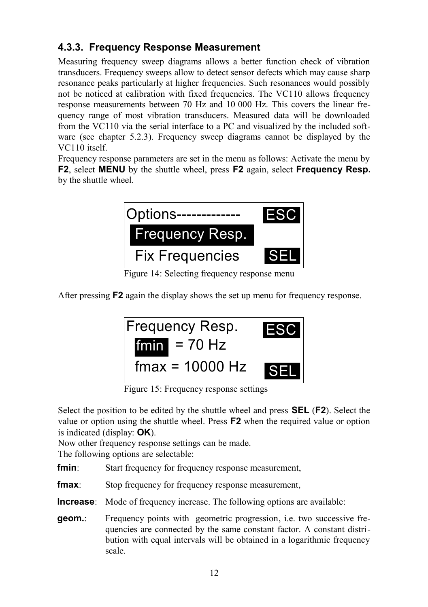## <span id="page-13-0"></span>**4.3.3. Frequency Response Measurement**

Measuring frequency sweep diagrams allows a better function check of vibration transducers. Frequency sweeps allow to detect sensor defects which may cause sharp resonance peaks particularly at higher frequencies. Such resonances would possibly not be noticed at calibration with fixed frequencies. The VC110 allows frequency response measurements between 70 Hz and 10 000 Hz. This covers the linear frequency range of most vibration transducers. Measured data will be downloaded from the VC110 via the serial interface to a PC and visualized by the included software (see chapter [5.2.3\)](#page-27-0). Frequency sweep diagrams cannot be displayed by the VC110 itself.

Frequency response parameters are set in the menu as follows: Activate the menu by **F2**, select **MENU** by the shuttle wheel, press **F2** again, select **Frequency Resp.** by the shuttle wheel.



Figure 14: Selecting frequency response menu

After pressing **F2** again the display shows the set up menu for frequency response.



Figure 15: Frequency response settings

Select the position to be edited by the shuttle wheel and press **SEL** (**F2**). Select the value or option using the shuttle wheel. Press **F2** when the required value or option is indicated (display: **OK**).

Now other frequency response settings can be made.

The following options are selectable:

**fmin**: Start frequency for frequency response measurement,

**fmax**: Stop frequency for frequency response measurement,

**Increase**: Mode of frequency increase. The following options are available:

**geom.**: Frequency points with geometric progression, i.e. two successive frequencies are connected by the same constant factor. A constant distribution with equal intervals will be obtained in a logarithmic frequency scale.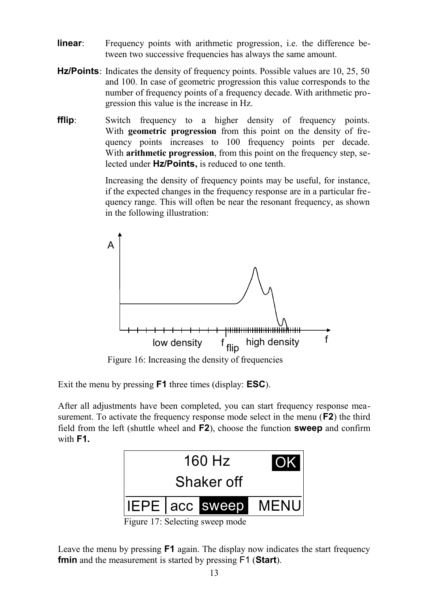- **linear**: Frequency points with arithmetic progression, i.e. the difference between two successive frequencies has always the same amount.
- **Hz/Points**: Indicates the density of frequency points. Possible values are 10, 25, 50 and 100. In case of geometric progression this value corresponds to the number of frequency points of a frequency decade. With arithmetic progression this value is the increase in Hz.
- **fflip**: Switch frequency to a higher density of frequency points. With **geometric progression** from this point on the density of frequency points increases to 100 frequency points per decade. With **arithmetic progression**, from this point on the frequency step, selected under **Hz/Points,** is reduced to one tenth.

Increasing the density of frequency points may be useful, for instance, if the expected changes in the frequency response are in a particular frequency range. This will often be near the resonant frequency, as shown in the following illustration:



<span id="page-14-0"></span>Figure 16: Increasing the density of frequencies

Exit the menu by pressing **F1** three times (display: **ESC**).

After all adjustments have been completed, you can start frequency response measurement. To activate the frequency response mode select in the menu (**F2**) the third field from the left (shuttle wheel and **F2**), choose the function **sweep** and confirm with **F1.**



Figure 17: Selecting sweep mode

Leave the menu by pressing **F1** again. The display now indicates the start frequency **fmin** and the measurement is started by pressing F1 (**Start**).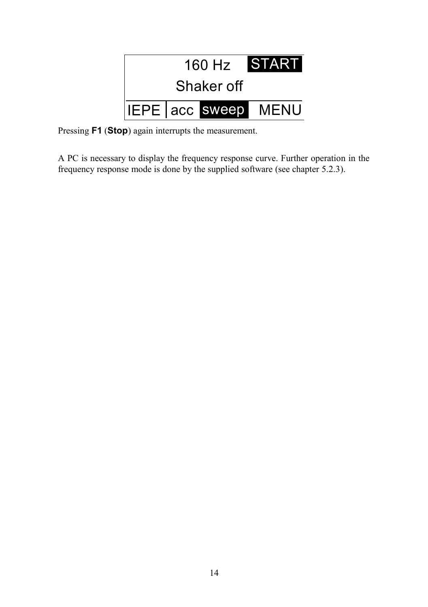

Pressing **F1** (**Stop**) again interrupts the measurement.

A PC is necessary to display the frequency response curve. Further operation in the frequency response mode is done by the supplied software (see chapter [5.2.3\)](#page-27-0).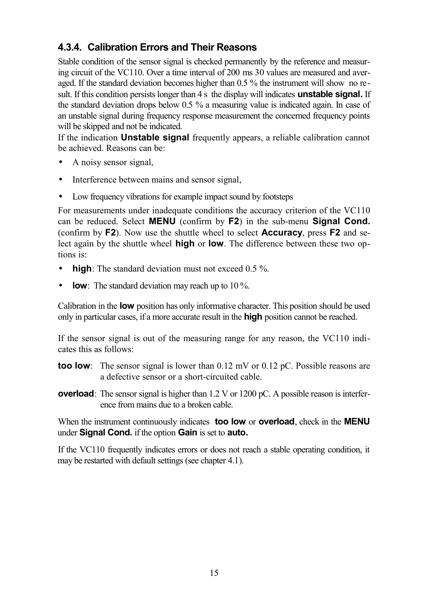## <span id="page-16-0"></span>**4.3.4. Calibration Errors and Their Reasons**

Stable condition of the sensor signal is checked permanently by the reference and measuring circuit of the VC110. Over a time interval of 200 ms 30 values are measured and averaged. If the standard deviation becomes higher than 0.5 % the instrument will show no result. If this condition persists longer than 4 s the display will indicates **unstable signal.** If the standard deviation drops below 0.5 % a measuring value is indicated again. In case of an unstable signal during frequency response measurement the concerned frequency points will be skipped and not be indicated.

If the indication **Unstable signal** frequently appears, a reliable calibration cannot be achieved. Reasons can be:

- A noisy sensor signal,
- Interference between mains and sensor signal,
- Low frequency vibrations for example impact sound by footsteps

For measurements under inadequate conditions the accuracy criterion of the VC110 can be reduced. Select **MENU** (confirm by **F2**) in the sub-menu **Signal Cond.** (confirm by **F2**). Now use the shuttle wheel to select **Accuracy**, press **F2** and select again by the shuttle wheel **high** or **low**. The difference between these two options is:

- **high**: The standard deviation must not exceed 0.5 %.
- **low**: The standard deviation may reach up to 10 %.

Calibration in the **low** position has only informative character. This position should be used only in particular cases, if a more accurate result in the **high** position cannot be reached.

If the sensor signal is out of the measuring range for any reason, the VC110 indicates this as follows:

- **too low**: The sensor signal is lower than 0.12 mV or 0.12 pC. Possible reasons are a defective sensor or a short-circuited cable.
- **overload**: The sensor signal is higher than 1.2 V or 1200 pC. A possible reason is interference from mains due to a broken cable.

When the instrument continuously indicates **too low** or **overload**, check in the **MENU** under **Signal Cond.** if the option **Gain** is set to **auto.**

If the VC110 frequently indicates errors or does not reach a stable operating condition, it may be restarted with default settings (see chapter [4.1\)](#page-6-0).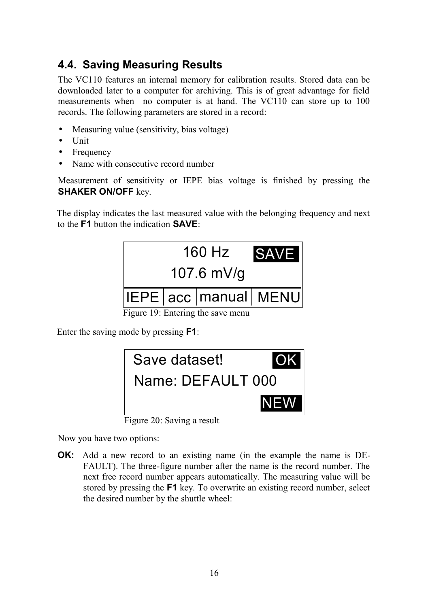## <span id="page-17-0"></span>**4.4. Saving Measuring Results**

The VC110 features an internal memory for calibration results. Stored data can be downloaded later to a computer for archiving. This is of great advantage for field measurements when no computer is at hand. The VC110 can store up to 100 records. The following parameters are stored in a record:

- Measuring value (sensitivity, bias voltage)
- Unit
- Frequency
- Name with consecutive record number

Measurement of sensitivity or IEPE bias voltage is finished by pressing the **SHAKER ON/OFF** key.

The display indicates the last measured value with the belonging frequency and next to the **F1** button the indication **SAVE**:



Enter the saving mode by pressing **F1**:



Figure 20: Saving a result

Now you have two options:

**OK:** Add a new record to an existing name (in the example the name is DE-FAULT). The three-figure number after the name is the record number. The next free record number appears automatically. The measuring value will be stored by pressing the **F1** key. To overwrite an existing record number, select the desired number by the shuttle wheel: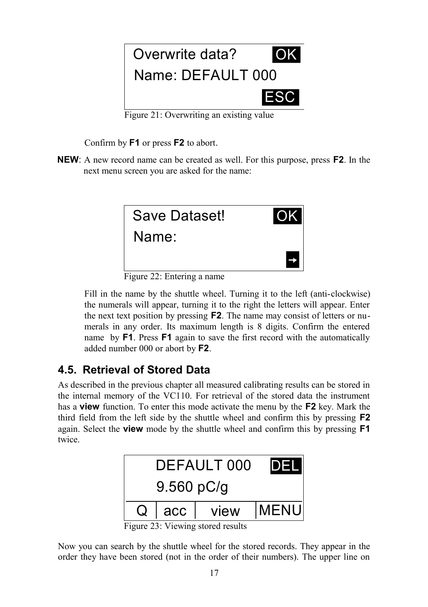

Figure 21: Overwriting an existing value

Confirm by **F1** or press **F2** to abort.

**NEW**: A new record name can be created as well. For this purpose, press **F2**. In the next menu screen you are asked for the name:



Figure 22: Entering a name

Fill in the name by the shuttle wheel. Turning it to the left (anti-clockwise) the numerals will appear, turning it to the right the letters will appear. Enter the next text position by pressing **F2**. The name may consist of letters or numerals in any order. Its maximum length is 8 digits. Confirm the entered name by **F1**. Press **F1** again to save the first record with the automatically added number 000 or abort by **F2**.

## **4.5. Retrieval of Stored Data**

As described in the previous chapter all measured calibrating results can be stored in the internal memory of the VC110. For retrieval of the stored data the instrument has a **view** function. To enter this mode activate the menu by the **F2** key. Mark the third field from the left side by the shuttle wheel and confirm this by pressing **F2** again. Select the **view** mode by the shuttle wheel and confirm this by pressing **F1** twice.



Figure 23: Viewing stored results

Now you can search by the shuttle wheel for the stored records. They appear in the order they have been stored (not in the order of their numbers). The upper line on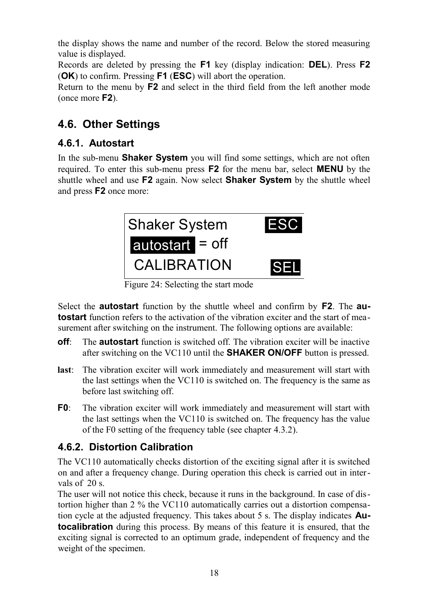the display shows the name and number of the record. Below the stored measuring value is displayed.

Records are deleted by pressing the **F1** key (display indication: **DEL**). Press **F2** (**OK**) to confirm. Pressing **F1** (**ESC**) will abort the operation.

Return to the menu by **F2** and select in the third field from the left another mode (once more **F2**).

## <span id="page-19-0"></span>**4.6. Other Settings**

## **4.6.1. Autostart**

In the sub-menu **Shaker System** you will find some settings, which are not often required. To enter this sub-menu press **F2** for the menu bar, select **MENU** by the shuttle wheel and use **F2** again. Now select **Shaker System** by the shuttle wheel and press **F2** once more:



Figure 24: Selecting the start mode

Select the **autostart** function by the shuttle wheel and confirm by **F2**. The **autostart** function refers to the activation of the vibration exciter and the start of measurement after switching on the instrument. The following options are available:

- **off**: The **autostart** function is switched off. The vibration exciter will be inactive after switching on the VC110 until the **SHAKER ON/OFF** button is pressed.
- **last**: The vibration exciter will work immediately and measurement will start with the last settings when the VC110 is switched on. The frequency is the same as before last switching off.
- **F0**: The vibration exciter will work immediately and measurement will start with the last settings when the VC110 is switched on. The frequency has the value of the F0 setting of the frequency table (see chapter [4.3.2\)](#page-11-0).

## **4.6.2. Distortion Calibration**

The VC110 automatically checks distortion of the exciting signal after it is switched on and after a frequency change. During operation this check is carried out in intervals of 20 s.

The user will not notice this check, because it runs in the background. In case of distortion higher than 2 % the VC110 automatically carries out a distortion compensation cycle at the adjusted frequency. This takes about 5 s. The display indicates **Autocalibration** during this process. By means of this feature it is ensured, that the exciting signal is corrected to an optimum grade, independent of frequency and the weight of the specimen.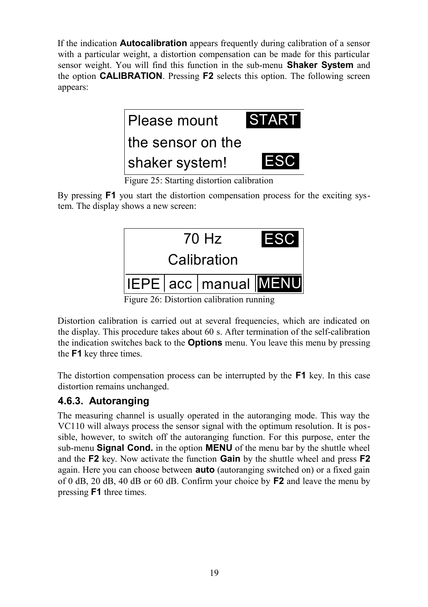If the indication **Autocalibration** appears frequently during calibration of a sensor with a particular weight, a distortion compensation can be made for this particular sensor weight. You will find this function in the sub-menu **Shaker System** and the option **CALIBRATION**. Pressing **F2** selects this option. The following screen appears:



Figure 25: Starting distortion calibration

By pressing **F1** you start the distortion compensation process for the exciting system. The display shows a new screen:



Distortion calibration is carried out at several frequencies, which are indicated on the display. This procedure takes about 60 s. After termination of the self-calibration the indication switches back to the **Options** menu. You leave this menu by pressing

the **F1** key three times.

The distortion compensation process can be interrupted by the **F1** key. In this case distortion remains unchanged.

## **4.6.3. Autoranging**

The measuring channel is usually operated in the autoranging mode. This way the VC110 will always process the sensor signal with the optimum resolution. It is possible, however, to switch off the autoranging function. For this purpose, enter the sub-menu **Signal Cond.** in the option **MENU** of the menu bar by the shuttle wheel and the **F2** key. Now activate the function **Gain** by the shuttle wheel and press **F2** again. Here you can choose between **auto** (autoranging switched on) or a fixed gain of 0 dB, 20 dB, 40 dB or 60 dB. Confirm your choice by **F2** and leave the menu by pressing **F1** three times.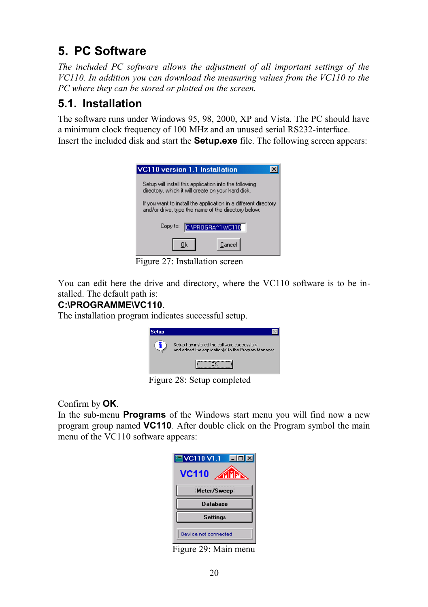# **5. PC Software**

*The included PC software allows the adjustment of all important settings of the VC110. In addition you can download the measuring values from the VC110 to the PC where they can be stored or plotted on the screen.*

## <span id="page-21-0"></span>**5.1. Installation**

The software runs under Windows 95, 98, 2000, XP and Vista. The PC should have a minimum clock frequency of 100 MHz and an unused serial RS232-interface. Insert the included disk and start the **Setup.exe** file. The following screen appears:

| <b>VC110</b> version 1.1 Installation                                                                                  |
|------------------------------------------------------------------------------------------------------------------------|
| Setup will install this application into the following<br>directory, which it will create on your hard disk.           |
| If you want to install the application in a different directory<br>and/or drive, type the name of the directory below: |
| CNPROGRAM1WC110<br>Copy to:                                                                                            |
| Cancel<br>Πk                                                                                                           |

Figure 27: Installation screen

You can edit here the drive and directory, where the VC110 software is to be installed. The default path is:

## **C:\PROGRAMME\VC110**.

The installation program indicates successful setup.



Figure 28: Setup completed

Confirm by **OK**.

In the sub-menu **Programs** of the Windows start menu you will find now a new program group named **VC110**. After double click on the Program symbol the main menu of the VC110 software appears:

| <b>PVC110 V1.1 EEE</b>     |
|----------------------------|
| <b>VC110</b><br><b>AMN</b> |
| Meter/Sweep                |
| <b>Database</b>            |
| <b>Settings</b>            |
| Device not connected       |

Figure 29: Main menu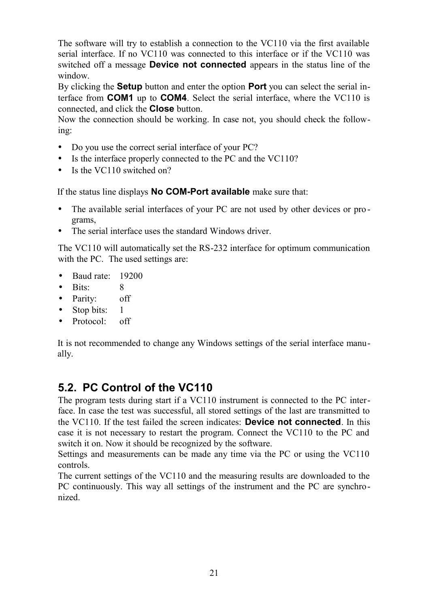The software will try to establish a connection to the VC110 via the first available serial interface. If no VC110 was connected to this interface or if the VC110 was switched off a message **Device not connected** appears in the status line of the window.

By clicking the **Setup** button and enter the option **Port** you can select the serial interface from **COM1** up to **COM4**. Select the serial interface, where the VC110 is connected, and click the **Close** button.

Now the connection should be working. In case not, you should check the following:

- Do you use the correct serial interface of your PC?
- Is the interface properly connected to the PC and the VC110?
- Is the VC110 switched on?

If the status line displays **No COM-Port available** make sure that:

- The available serial interfaces of your PC are not used by other devices or programs,
- The serial interface uses the standard Windows driver

The VC110 will automatically set the RS-232 interface for optimum communication with the PC. The used settings are:

- Baud rate: 19200
- Bits<sup>:</sup> 8
- Parity: off
- Stop bits: 1
- Protocol: off

It is not recommended to change any Windows settings of the serial interface manually.

## **5.2. PC Control of the VC110**

The program tests during start if a VC110 instrument is connected to the PC interface. In case the test was successful, all stored settings of the last are transmitted to the VC110. If the test failed the screen indicates: **Device not connected**. In this case it is not necessary to restart the program. Connect the VC110 to the PC and switch it on. Now it should be recognized by the software.

Settings and measurements can be made any time via the PC or using the VC110 controls.

The current settings of the VC110 and the measuring results are downloaded to the PC continuously. This way all settings of the instrument and the PC are synchronized.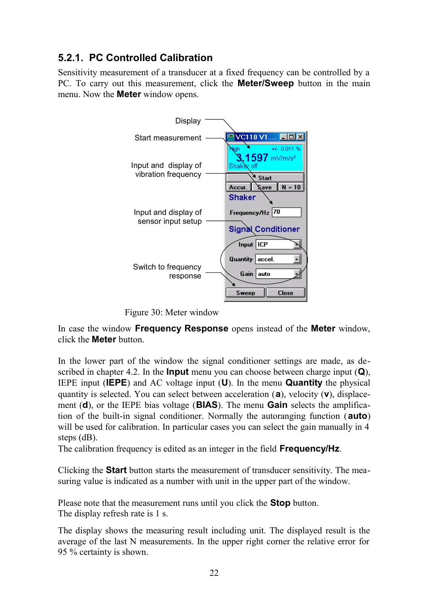## <span id="page-23-0"></span>**5.2.1. PC Controlled Calibration**

Sensitivity measurement of a transducer at a fixed frequency can be controlled by a PC. To carry out this measurement, click the **Meter/Sweep** button in the main menu. Now the **Meter** window opens.



Figure 30: Meter window

In case the window **Frequency Response** opens instead of the **Meter** window, click the **Meter** button.

In the lower part of the window the signal conditioner settings are made, as described in chapter [4.2.](#page-7-0) In the **Input** menu you can choose between charge input (**Q**), IEPE input (**IEPE**) and AC voltage input (**U**). In the menu **Quantity** the physical quantity is selected. You can select between acceleration (**a**), velocity (**v**), displacement (**d**), or the IEPE bias voltage (**BIAS**). The menu **Gain** selects the amplification of the built-in signal conditioner. Normally the autoranging function (**auto**) will be used for calibration. In particular cases you can select the gain manually in 4 steps (dB).

The calibration frequency is edited as an integer in the field **Frequency/Hz**.

Clicking the **Start** button starts the measurement of transducer sensitivity. The measuring value is indicated as a number with unit in the upper part of the window.

Please note that the measurement runs until you click the **Stop** button. The display refresh rate is 1 s.

The display shows the measuring result including unit. The displayed result is the average of the last N measurements. In the upper right corner the relative error for 95 % certainty is shown.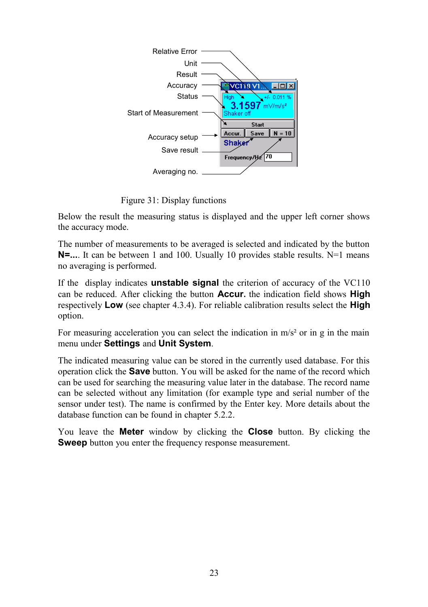

Figure 31: Display functions

Below the result the measuring status is displayed and the upper left corner shows the accuracy mode.

The number of measurements to be averaged is selected and indicated by the button **N=...**. It can be between 1 and 100. Usually 10 provides stable results. N=1 means no averaging is performed.

If the display indicates **unstable signal** the criterion of accuracy of the VC110 can be reduced. After clicking the button **Accur.** the indication field shows **High** respectively **Low** (see chapter [4.3.4\)](#page-16-0). For reliable calibration results select the **High** option.

For measuring acceleration you can select the indication in  $m/s^2$  or in g in the main menu under **Settings** and **Unit System**.

The indicated measuring value can be stored in the currently used database. For this operation click the **Save** button. You will be asked for the name of the record which can be used for searching the measuring value later in the database. The record name can be selected without any limitation (for example type and serial number of the sensor under test). The name is confirmed by the Enter key. More details about the database function can be found in chapter [5.2.2.](#page-25-0)

You leave the **Meter** window by clicking the **Close** button. By clicking the **Sweep** button you enter the frequency response measurement.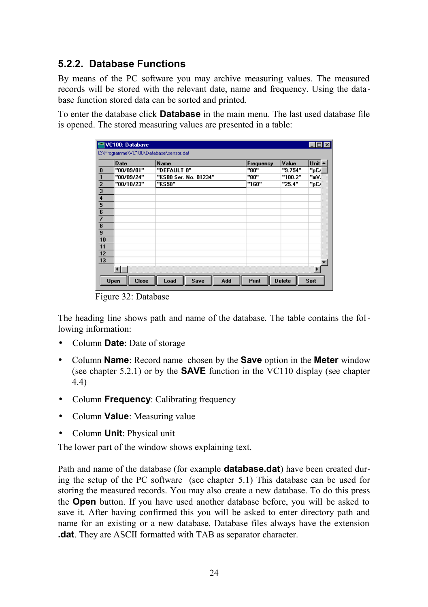## <span id="page-25-0"></span>**5.2.2. Database Functions**

By means of the PC software you may archive measuring values. The measured records will be stored with the relevant date, name and frequency. Using the database function stored data can be sorted and printed.

To enter the database click **Database** in the main menu. The last used database file is opened. The stored measuring values are presented in a table:

|                                                                                       | VC100: Database                        |                       |           |               | $\boldsymbol{\mathsf{x}}$ |
|---------------------------------------------------------------------------------------|----------------------------------------|-----------------------|-----------|---------------|---------------------------|
|                                                                                       | C:\Programme\VC100\Database\sensor.dat |                       |           |               |                           |
|                                                                                       | Date                                   | <b>Name</b>           | Frequency | Value         | Unit A                    |
| $\overline{\mathbf{0}}$                                                               | "00/09/01"                             | "DEFAULT 0"           | "80"      | "9.754"       | "pC/                      |
|                                                                                       | "00/09/24"                             | "KS80 Ser. No. 01234" | "80"      | "100.2"       | ™.                        |
|                                                                                       | "00/10/23"                             | "KS50"                | "160"     | "25.4"        | "pC.                      |
|                                                                                       |                                        |                       |           |               |                           |
|                                                                                       |                                        |                       |           |               |                           |
|                                                                                       |                                        |                       |           |               |                           |
|                                                                                       |                                        |                       |           |               |                           |
|                                                                                       |                                        |                       |           |               |                           |
| $\frac{2}{3}$ $\frac{3}{4}$ $\frac{4}{5}$ $\frac{5}{7}$ $\frac{8}{10}$ $\frac{9}{10}$ |                                        |                       |           |               |                           |
|                                                                                       |                                        |                       |           |               |                           |
|                                                                                       |                                        |                       |           |               |                           |
|                                                                                       |                                        |                       |           |               |                           |
| $\frac{11}{12}$ $\frac{12}{13}$                                                       |                                        |                       |           |               |                           |
|                                                                                       |                                        |                       |           |               |                           |
|                                                                                       |                                        |                       |           |               |                           |
|                                                                                       |                                        |                       |           |               |                           |
|                                                                                       | <b>Close</b><br><b>Open</b>            | Save<br>Add<br>Load   | Print     | <b>Delete</b> | Sort                      |

Figure 32: Database

The heading line shows path and name of the database. The table contains the following information:

- Column **Date**: Date of storage
- Column **Name**: Record name chosen by the **Save** option in the **Meter** window (see chapter [5.2.1\)](#page-23-0) or by the **SAVE** function in the VC110 display (see chapter [4.4\)](#page-17-0)
- Column **Frequency**: Calibrating frequency
- Column **Value**: Measuring value
- Column **Unit**: Physical unit

The lower part of the window shows explaining text.

Path and name of the database (for example **database.dat**) have been created during the setup of the PC software (see chapter [5.1\)](#page-21-0) This database can be used for storing the measured records. You may also create a new database. To do this press the **Open** button. If you have used another database before, you will be asked to save it. After having confirmed this you will be asked to enter directory path and name for an existing or a new database. Database files always have the extension **.dat**. They are ASCII formatted with TAB as separator character.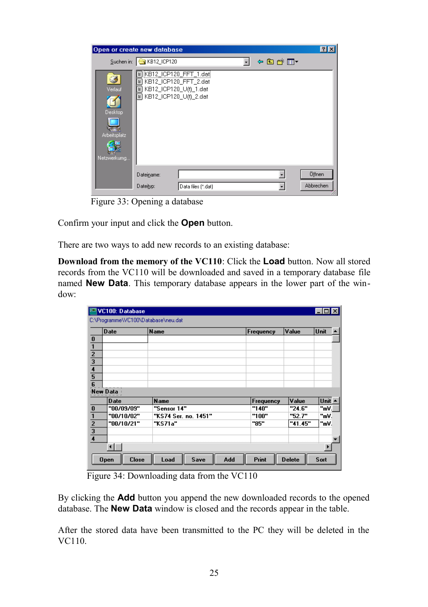|                                                   | Open or create new database                                                                            |                    |       | $\mathbb{P}[\mathbb{X}]$ |
|---------------------------------------------------|--------------------------------------------------------------------------------------------------------|--------------------|-------|--------------------------|
|                                                   | Suchen in: G KB12_ICP120                                                                               |                    | ←白び囲▼ |                          |
| Verlauf<br>Desktop<br>Arbeitsplatz<br>Netzwerkumg | E KB12_ICP120_FFT_1.dat<br>KB12_ICP120_FFT_2.dat<br>EXB12_ICP120_U(t)_1.dat<br>EXB12_ICP120_U(t)_2.dat |                    |       |                          |
|                                                   | Dateiname:                                                                                             |                    |       | Öffnen                   |
|                                                   | Dateityp:                                                                                              | Data files (*.dat) |       | Abbrechen                |

Figure 33: Opening a database

Confirm your input and click the **Open** button.

There are two ways to add new records to an existing database:

**Download from the memory of the VC110**: Click the **Load** button. Now all stored records from the VC110 will be downloaded and saved in a temporary database file named **New Data**. This temporary database appears in the lower part of the window:

|                                                                                     | <b>Date</b> | Name                 | Frequency | Value   | Unit        |  |
|-------------------------------------------------------------------------------------|-------------|----------------------|-----------|---------|-------------|--|
| $\frac{0}{1}$ $\frac{1}{2}$ $\frac{1}{3}$ $\frac{4}{4}$ $\frac{5}{5}$ $\frac{6}{6}$ |             |                      |           |         |             |  |
|                                                                                     |             |                      |           |         |             |  |
|                                                                                     |             |                      |           |         |             |  |
|                                                                                     |             |                      |           |         |             |  |
|                                                                                     |             |                      |           |         |             |  |
|                                                                                     |             |                      |           |         |             |  |
|                                                                                     | New Data    |                      |           |         |             |  |
|                                                                                     | Date        | <b>Name</b>          | Frequency | Value   | Unit $\sim$ |  |
|                                                                                     | "00/09/09"  | "Sensor 14"          | "140"     | "24.6"  | "mV.        |  |
|                                                                                     | "00/10/02"  | "KS74 Ser. no. 1451" | "100"     | "52.7"  | "mV.        |  |
| $\frac{0}{1}$ $\frac{1}{2}$ $\frac{2}{3}$ $\frac{3}{4}$                             | "00/10/21"  | "KS71a"              | "85"      | "41.45" | "mV.        |  |
|                                                                                     |             |                      |           |         |             |  |
|                                                                                     |             |                      |           |         |             |  |
|                                                                                     |             |                      |           |         |             |  |

Figure 34: Downloading data from the VC110

By clicking the **Add** button you append the new downloaded records to the opened database. The **New Data** window is closed and the records appear in the table.

After the stored data have been transmitted to the PC they will be deleted in the VC110.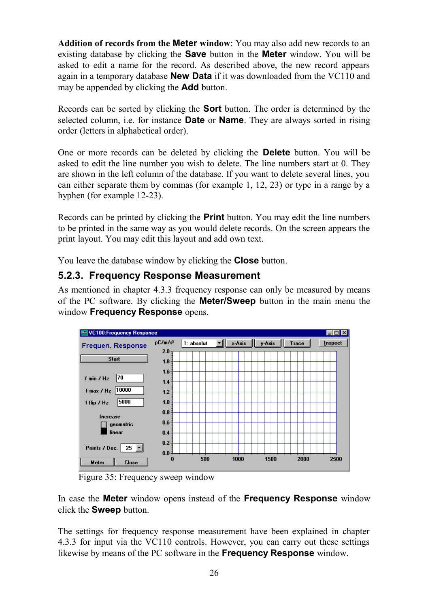**Addition of records from the Meter window**: You may also add new records to an existing database by clicking the **Save** button in the **Meter** window. You will be asked to edit a name for the record. As described above, the new record appears again in a temporary database **New Data** if it was downloaded from the VC110 and may be appended by clicking the **Add** button.

Records can be sorted by clicking the **Sort** button. The order is determined by the selected column, i.e. for instance **Date** or **Name**. They are always sorted in rising order (letters in alphabetical order).

One or more records can be deleted by clicking the **Delete** button. You will be asked to edit the line number you wish to delete. The line numbers start at 0. They are shown in the left column of the database. If you want to delete several lines, you can either separate them by commas (for example 1, 12, 23) or type in a range by a hyphen (for example 12-23).

Records can be printed by clicking the **Print** button. You may edit the line numbers to be printed in the same way as you would delete records. On the screen appears the print layout. You may edit this layout and add own text.

You leave the database window by clicking the **Close** button.

#### <span id="page-27-0"></span>**5.2.3. Frequency Response Measurement**

As mentioned in chapter [4.3.3](#page-13-0) frequency response can only be measured by means of the PC software. By clicking the **Meter/Sweep** button in the main menu the window **Frequency Response** opens.



Figure 35: Frequency sweep window

In case the **Meter** window opens instead of the **Frequency Response** window click the **Sweep** button.

The settings for frequency response measurement have been explained in chapter [4.3.3](#page-13-0) for input via the VC110 controls. However, you can carry out these settings likewise by means of the PC software in the **Frequency Response** window.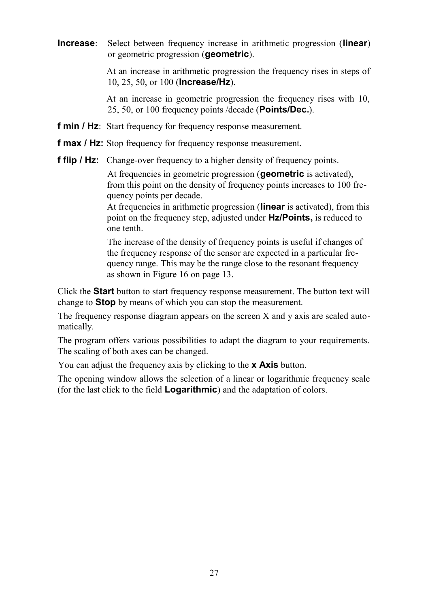**Increase**: Select between frequency increase in arithmetic progression (**linear**) or geometric progression (**geometric**).

> At an increase in arithmetic progression the frequency rises in steps of 10, 25, 50, or 100 (**Increase/Hz**).

> At an increase in geometric progression the frequency rises with 10, 25, 50, or 100 frequency points /decade (**Points/Dec.**).

- **f min / Hz**: Start frequency for frequency response measurement.
- **f max / Hz:** Stop frequency for frequency response measurement.
- **f flip / Hz:** Change-over frequency to a higher density of frequency points.

At frequencies in geometric progression (**geometric** is activated), from this point on the density of frequency points increases to 100 frequency points per decade.

At frequencies in arithmetic progression (**linear** is activated), from this point on the frequency step, adjusted under **Hz/Points,** is reduced to one tenth.

The increase of the density of frequency points is useful if changes of the frequency response of the sensor are expected in a particular frequency range. This may be the range close to the resonant frequency as shown in [Figure 16](#page-14-0) on page [13.](#page-14-0)

Click the **Start** button to start frequency response measurement. The button text will change to **Stop** by means of which you can stop the measurement.

The frequency response diagram appears on the screen X and y axis are scaled automatically.

The program offers various possibilities to adapt the diagram to your requirements. The scaling of both axes can be changed.

You can adjust the frequency axis by clicking to the **x Axis** button.

The opening window allows the selection of a linear or logarithmic frequency scale (for the last click to the field **Logarithmic**) and the adaptation of colors.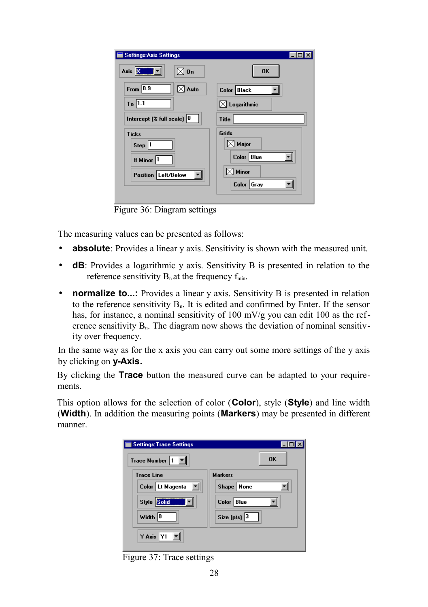| <b>Settings: Axis Settings</b>         |                         |
|----------------------------------------|-------------------------|
| Axis XXXXX<br>⊠ On                     | <b>OK</b>               |
| From $\boxed{0.9}$<br>$\boxtimes$ Auto | Color Black             |
| $To$ 1.1                               | $\boxtimes$ Logarithmic |
| Intercept $($ full scale) $ 0 $        | Title                   |
| <b>Ticks</b>                           | Grids                   |
| Step 1                                 | $\boxtimes$ Major       |
| # Minor 1                              | Color Blue              |
| Position Left/Below                    | Minor                   |
|                                        | Color Gray              |
|                                        |                         |

Figure 36: Diagram settings

The measuring values can be presented as follows:

- **absolute**: Provides a linear y axis. Sensitivity is shown with the measured unit.
- **dB**: Provides a logarithmic y axis. Sensitivity B is presented in relation to the reference sensitivity  $B_n$  at the frequency  $f_{min}$ .
- **normalize to...:** Provides a linear y axis. Sensitivity B is presented in relation to the reference sensitivity  $B_n$ . It is edited and confirmed by Enter. If the sensor has, for instance, a nominal sensitivity of 100 mV/g you can edit 100 as the reference sensitivity  $B_n$ . The diagram now shows the deviation of nominal sensitivity over frequency.

In the same way as for the x axis you can carry out some more settings of the y axis by clicking on **y-Axis.**

By clicking the **Trace** button the measured curve can be adapted to your requirements.

This option allows for the selection of color (**Color**), style (**Style**) and line width (**Width**). In addition the measuring points (**Markers**) may be presented in different manner.

| <b>Settings: Trace Settings</b> |                  |
|---------------------------------|------------------|
| Trace Number                    | 0K               |
| <b>Trace Line</b>               | <b>Markers</b>   |
| Color   Lt Magenta              | Shape   None     |
| Style <b>Sold</b>               | Color Blue       |
| Width 0                         | Size (pts) $ 3 $ |
| Y Axis                          |                  |

Figure 37: Trace settings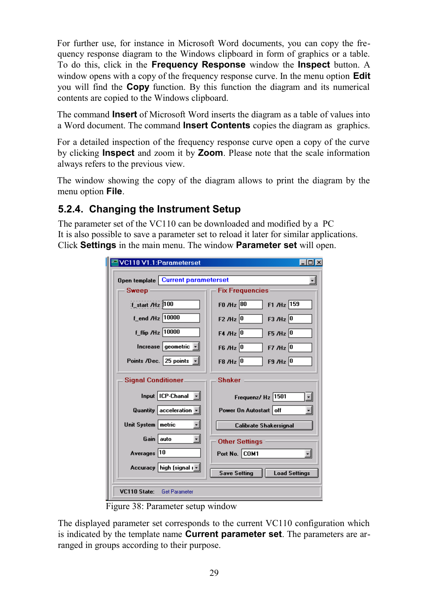For further use, for instance in Microsoft Word documents, you can copy the frequency response diagram to the Windows clipboard in form of graphics or a table. To do this, click in the **Frequency Response** window the **Inspect** button. A window opens with a copy of the frequency response curve. In the menu option **Edit** you will find the **Copy** function. By this function the diagram and its numerical contents are copied to the Windows clipboard.

The command **Insert** of Microsoft Word inserts the diagram as a table of values into a Word document. The command **Insert Contents** copies the diagram as graphics.

For a detailed inspection of the frequency response curve open a copy of the curve by clicking **Inspect** and zoom it by **Zoom**. Please note that the scale information always refers to the previous view.

The window showing the copy of the diagram allows to print the diagram by the menu option **File**.

## **5.2.4. Changing the Instrument Setup**

The parameter set of the VC110 can be downloaded and modified by a PC It is also possible to save a parameter set to reload it later for similar applications. Click **Settings** in the main menu. The window **Parameter set** will open.

| VC110 V1.1:Parameterset                     |                                                    |
|---------------------------------------------|----------------------------------------------------|
| Open template   Current parameterset        |                                                    |
| Sweep                                       | <b>Fix Frequencies</b>                             |
| f_start /Hz 100                             | F1 /Hz $159$<br>FO $/$ Hz $ 80$                    |
| f_end /Hz 10000                             | $F3$ /Hz $ 0$<br>$F2$ /Hz $ 0$                     |
| f_flip /Hz 10000                            | F4 /Hz 0<br>F5 /Hz $ 0$                            |
| Increase geometric $\overline{\phantom{a}}$ | $F6$ /Hz 0<br>$F7/Hz$ <sup>0</sup>                 |
| Points /Dec. 25 points -                    | $F9$ /Hz 0<br>F8 /Hz 0                             |
| <b>Signal Conditioner</b>                   | <b>Shaker</b>                                      |
| Input   ICP-Chanal                          | Frequenz/ Hz 1501<br>$\vert \cdot \vert$           |
| Quantity acceleration $\vert \cdot \vert$   | $\overline{\phantom{a}}$<br>Power On Autostart off |
| Unit System   metric                        | <b>Calibrate Shakersignal</b>                      |
| Gain auto<br>$\blacksquare$                 | <b>Other Settings</b>                              |
| Averages 10                                 | Port No. COM1<br>$\mathbf{r}$                      |
| Accuracy high [signal $\lVert \cdot \rVert$ | <b>Save Setting</b><br><b>Load Settings</b>        |
| VC110 State:<br><b>Get Parameter</b>        |                                                    |

Figure 38: Parameter setup window

The displayed parameter set corresponds to the current VC110 configuration which is indicated by the template name **Current parameter set**. The parameters are arranged in groups according to their purpose.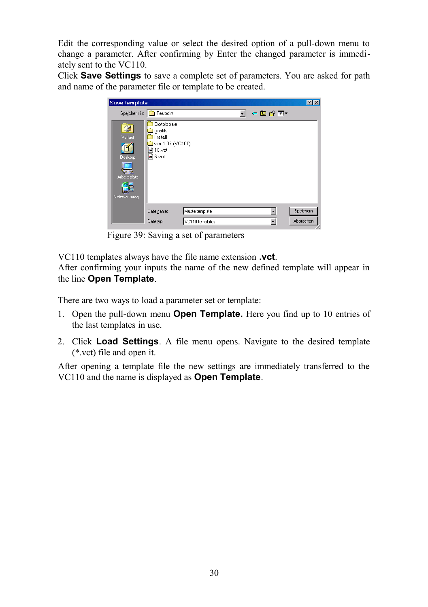Edit the corresponding value or select the desired option of a pull-down menu to change a parameter. After confirming by Enter the changed parameter is immediately sent to the VC110.

Click **Save Settings** to save a complete set of parameters. You are asked for path and name of the parameter file or template to be created.

| Save template                                          |                                                                                                             | $\mathbf{R}$ |
|--------------------------------------------------------|-------------------------------------------------------------------------------------------------------------|--------------|
|                                                        | ←国啓國▼<br>Speichern in: Testpoint                                                                            |              |
| Ø<br>Verlauf<br>Desktop<br>Arbeitsplatz<br>Netzwerkumg | Database<br>grafik<br><b>I</b> Install<br>ver.1.07 (VC100)<br>$\blacksquare$ 10.vct<br>$\blacksquare$ 6.vct |              |
|                                                        | Mustertemplate<br>Dateiname:                                                                                | Speichern    |
|                                                        | VC110 templates<br>Dateityp:                                                                                | Abbrechen    |

Figure 39: Saving a set of parameters

VC110 templates always have the file name extension **.vct**.

After confirming your inputs the name of the new defined template will appear in the line **Open Template**.

There are two ways to load a parameter set or template:

- 1. Open the pull-down menu **Open Template.** Here you find up to 10 entries of the last templates in use.
- 2. Click **Load Settings**. A file menu opens. Navigate to the desired template (\*.vct) file and open it.

After opening a template file the new settings are immediately transferred to the VC110 and the name is displayed as **Open Template**.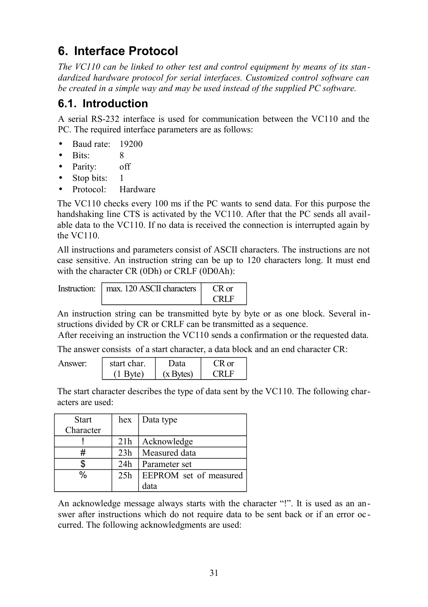# **6. Interface Protocol**

*The VC110 can be linked to other test and control equipment by means of its standardized hardware protocol for serial interfaces. Customized control software can be created in a simple way and may be used instead of the supplied PC software.*

## **6.1. Introduction**

A serial RS-232 interface is used for communication between the VC110 and the PC. The required interface parameters are as follows:

- Baud rate: 19200
- Bits: 8
- Parity: off
- Stop bits:
- Protocol: Hardware

The VC110 checks every 100 ms if the PC wants to send data. For this purpose the handshaking line CTS is activated by the VC110. After that the PC sends all available data to the VC110. If no data is received the connection is interrupted again by the VC110.

All instructions and parameters consist of ASCII characters. The instructions are not case sensitive. An instruction string can be up to 120 characters long. It must end with the character CR (0Dh) or CRLF (0D0Ah):

| Instruction:   max. 120 ASCII characters |       |
|------------------------------------------|-------|
|                                          | CRL E |

An instruction string can be transmitted byte by byte or as one block. Several instructions divided by CR or CRLF can be transmitted as a sequence.

After receiving an instruction the VC110 sends a confirmation or the requested data.

The answer consists of a start character, a data block and an end character CR:

| Answer: | start char. | Data      | $R \text{ or }$ |  |
|---------|-------------|-----------|-----------------|--|
|         | '1 Byte)    | (x Bvtes) | CRI E           |  |

The start character describes the type of data sent by the VC110. The following characters are used:

| <b>Start</b>  | hex | Data type              |
|---------------|-----|------------------------|
| Character     |     |                        |
|               | 21h | Acknowledge            |
|               | 23h | Measured data          |
| \$            | 24h | Parameter set          |
| $\frac{0}{0}$ | 25h | EEPROM set of measured |
|               |     | data                   |

An acknowledge message always starts with the character "!". It is used as an answer after instructions which do not require data to be sent back or if an error oc curred. The following acknowledgments are used: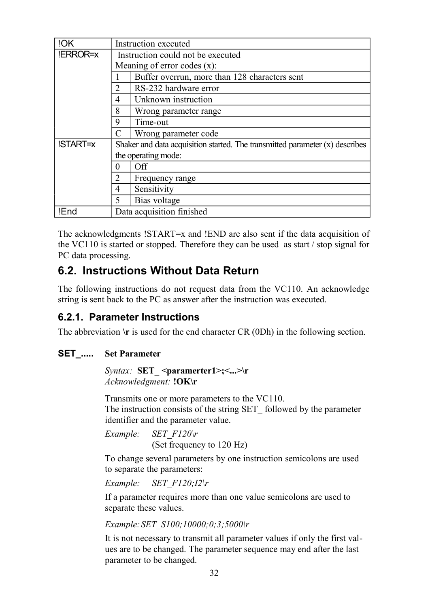| !OK      | Instruction executed                                                           |                                               |  |  |  |
|----------|--------------------------------------------------------------------------------|-----------------------------------------------|--|--|--|
| !ERROR=x | Instruction could not be executed                                              |                                               |  |  |  |
|          |                                                                                | Meaning of error codes $(x)$ :                |  |  |  |
|          |                                                                                | Buffer overrun, more than 128 characters sent |  |  |  |
|          |                                                                                | RS-232 hardware error                         |  |  |  |
|          | 4                                                                              | Unknown instruction                           |  |  |  |
|          | 8                                                                              | Wrong parameter range                         |  |  |  |
|          | 9                                                                              | Time-out                                      |  |  |  |
|          |                                                                                | Wrong parameter code                          |  |  |  |
| !START=x | Shaker and data acquisition started. The transmitted parameter $(x)$ describes |                                               |  |  |  |
|          |                                                                                | the operating mode:                           |  |  |  |
|          | 0                                                                              | Off                                           |  |  |  |
|          | 2<br>Frequency range                                                           |                                               |  |  |  |
|          | 4                                                                              | Sensitivity                                   |  |  |  |
|          | 5                                                                              | Bias voltage                                  |  |  |  |
| !End     |                                                                                | Data acquisition finished                     |  |  |  |

The acknowledgments !START=x and !END are also sent if the data acquisition of the VC110 is started or stopped. Therefore they can be used as start / stop signal for PC data processing.

## **6.2. Instructions Without Data Return**

The following instructions do not request data from the VC110. An acknowledge string is sent back to the PC as answer after the instruction was executed.

## **6.2.1. Parameter Instructions**

The abbreviation  $\mathbf{r}$  is used for the end character CR (0Dh) in the following section.

#### **SET\_..... Set Parameter**

*Syntax:* **SET** <paramerter1>;<...>\r *Acknowledgment:* **!OK\r**

Transmits one or more parameters to the VC110. The instruction consists of the string SET\_ followed by the parameter identifier and the parameter value.

*Example: SET\_F120\r* (Set frequency to 120 Hz)

To change several parameters by one instruction semicolons are used to separate the parameters:

*Example: SET\_F120;I2\r*

If a parameter requires more than one value semicolons are used to separate these values.

*Example:SET\_S100;10000;0;3;5000\r*

It is not necessary to transmit all parameter values if only the first values are to be changed. The parameter sequence may end after the last parameter to be changed.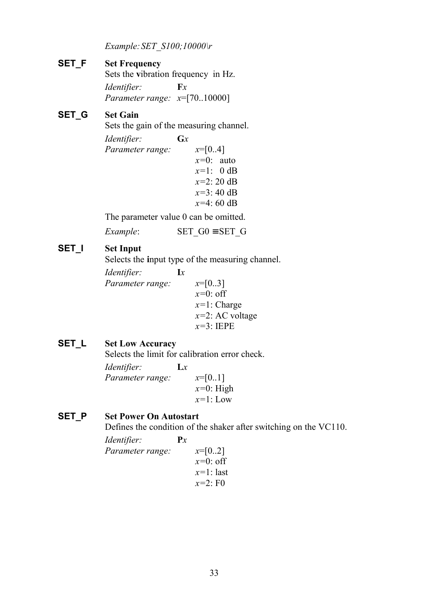*Example:SET\_S100;10000\r*

#### **SET\_F Set Frequency**

Sets the **v**ibration frequency in Hz. *Identifier:* **F***x Parameter range: x*=[70..10000]

#### **SET\_G Set Gain**

Sets the gain of the measuring channel.

```
Identifier: Gx
Parameter range: x=[0..4]
                   x=0: auto
                   x=1: 0 dB
                   x=2: 20 dB
                   x=3: 40 dB
                   x=4: 60 dB
```
The parameter value 0 can be omitted.

*Example*: **SET** G0 ≡ SET G

#### **SET I** Set Input

Selects the input type of the measuring channel.

*Identifier:* **I***x Parameter range: x*=[0..3] *x=*0: off *x=*1: Charge *x=*2: AC voltage *x=*3: IEPE

#### **SET\_L Set Low Accuracy**

Selects the limit for calibration error check.

| Identifier:      | $\mathbf{L}$ |              |
|------------------|--------------|--------------|
| Parameter range: |              | $x=[0.1]$    |
|                  |              | $x=0$ : High |
|                  |              | $x=1$ : Low  |
|                  |              |              |

#### **SET\_P Set Power On Autostart**

Defines the condition of the shaker after switching on the VC110.

| <i>Identifier:</i> | $\mathbf{P}$ |              |
|--------------------|--------------|--------------|
| Parameter range:   |              | $x=[02]$     |
|                    |              | $x=0$ : off  |
|                    |              | $x=1$ : last |
|                    |              | $x=2: F0$    |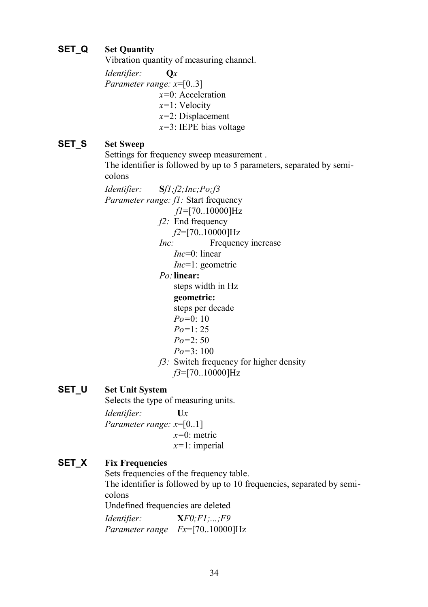#### **SET\_Q Set Quantity**

Vibration quantity of measuring channel.

*Identifier:* **Q***x Parameter range: x*=[0..3] *x=*0: Acceleration *x=*1: Velocity *x=*2: Displacement *x=*3: IEPE bias voltage

#### **SET\_S Set Sweep**

Settings for frequency sweep measurement . The identifier is followed by up to 5 parameters, separated by semicolons

*Identifier:* **S***f1;f2;Inc;Po;f3 Parameter range: f1: Start frequency f1*=[70..10000]Hz *f2:* End frequency *f2*=[70..10000]Hz *Inc:* Frequency increase *Inc*=0: linear *Inc*=1: geometric *Po:***linear:** steps width in Hz

**geometric:**

steps per decade

- *Po=*0: 10
- *Po=*1: 25
- *Po=*2: 50
- *Po=*3: 100
- *f3:* Switch frequency for higher density *f3*=[70..10000]Hz

#### **SET\_U Set Unit System**

Selects the type of measuring units.

*Identifier:* **U***x Parameter range: x*=[0..1] *x=*0: metric *x=*1: imperial

#### **SET\_X Fix Frequencies**

Sets frequencies of the frequency table.

The identifier is followed by up to 10 frequencies, separated by semicolons

Undefined frequencies are deleted

*Identifier:* **X***F0;F1;...;F9 Parameter range Fx*=[70..10000]Hz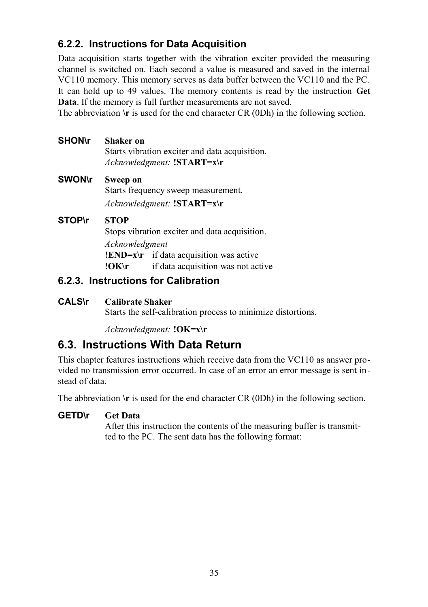## **6.2.2. Instructions for Data Acquisition**

Data acquisition starts together with the vibration exciter provided the measuring channel is switched on. Each second a value is measured and saved in the internal VC110 memory. This memory serves as data buffer between the VC110 and the PC. It can hold up to 49 values. The memory contents is read by the instruction **Get Data**. If the memory is full further measurements are not saved.

The abbreviation  $\mathbf{r}$  is used for the end character CR (0Dh) in the following section.

- **SHON\r Shaker on** Starts vibration exciter and data acquisition. *Acknowledgment:* **!START=x\r**
- **SWON\r Sweep on** Starts frequency sweep measurement. *Acknowledgment:* **!START=x\r**

#### **STOP\r STOP**

Stops vibration exciter and data acquisition. *Acknowledgment* **!END=x\r** if data acquisition was active **!OK\r** if data acquisition was not active

## **6.2.3. Instructions for Calibration**

#### **CALS\r Calibrate Shaker**

Starts the self-calibration process to minimize distortions.

*Acknowledgment:* **!OK=x\r** 

## **6.3. Instructions With Data Return**

This chapter features instructions which receive data from the VC110 as answer provided no transmission error occurred. In case of an error an error message is sent instead of data.

The abbreviation  $\mathbf{r}$  is used for the end character CR (0Dh) in the following section.

#### **GETD\r Get Data**

After this instruction the contents of the measuring buffer is transmitted to the PC. The sent data has the following format: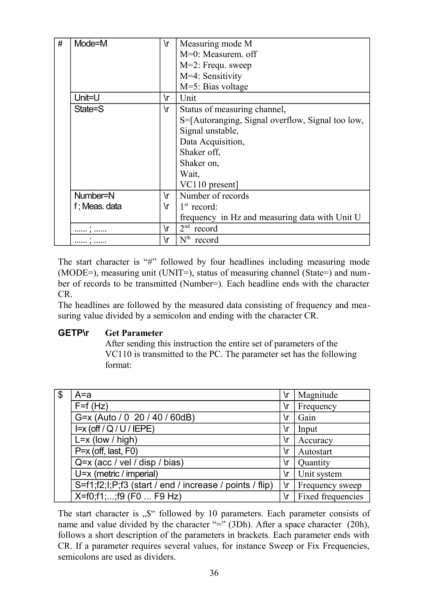| # | Mode=M        | ۱r | Measuring mode M                                 |  |
|---|---------------|----|--------------------------------------------------|--|
|   |               |    | M=0: Measurem. off                               |  |
|   |               |    | M=2: Frequ. sweep                                |  |
|   |               |    | M=4: Sensitivity                                 |  |
|   |               |    | $M=5$ : Bias voltage                             |  |
|   | Unit=U        | ۱r | Unit                                             |  |
|   | State=S       | ۱r | Status of measuring channel,                     |  |
|   |               |    | S=[Autoranging, Signal overflow, Signal too low, |  |
|   |               |    | Signal unstable,                                 |  |
|   |               |    | Data Acquisition,                                |  |
|   |               |    | Shaker off,                                      |  |
|   |               |    | Shaker on,                                       |  |
|   |               |    | Wait.                                            |  |
|   |               |    | VC110 present]                                   |  |
|   | Number=N      | ۱r | Number of records                                |  |
|   | f; Meas. data | ۱r | $1st$ record:                                    |  |
|   |               |    | frequency in Hz and measuring data with Unit U   |  |
|   |               | ۱r | $2nd$ record                                     |  |
|   |               | ۱r | $Nth$ record                                     |  |

The start character is "#" followed by four headlines including measuring mode (MODE=), measuring unit (UNIT=), status of measuring channel (State=) and number of records to be transmitted (Number=). Each headline ends with the character CR.

The headlines are followed by the measured data consisting of frequency and measuring value divided by a semicolon and ending with the character CR.

#### **GETP\r Get Parameter**

After sending this instruction the entire set of parameters of the VC110 is transmitted to the PC. The parameter set has the following format:

| -\$ | A=a                                                     | ۱r | Magnitude         |
|-----|---------------------------------------------------------|----|-------------------|
|     | $F=f(Hz)$                                               | ۱r | Frequency         |
|     | G=x (Auto / 0 20 / 40 / 60dB)                           | ۱r | Gain              |
|     | $I=x$ (off / Q / U / IEPE)                              | ۱r | Input             |
|     | $L = x$ (low / high)                                    | ۱r | Accuracy          |
|     | P=x (off, last, F0)                                     | ۱r | Autostart         |
|     | Q=x (acc / vel / disp / bias)                           | ۱r | <b>Quantity</b>   |
|     | U=x (metric / imperial)                                 | ۱r | Unit system       |
|     | S=f1;f2;l;P;f3 (start / end / increase / points / flip) | ۱r | Frequency sweep   |
|     | X=f0;f1;;f9 (F0  F9 Hz)                                 | ۱r | Fixed frequencies |

The start character is  $\mathcal{F}$  followed by 10 parameters. Each parameter consists of name and value divided by the character "=" (3Dh). After a space character (20h), follows a short description of the parameters in brackets. Each parameter ends with CR. If a parameter requires several values, for instance Sweep or Fix Frequencies, semicolons are used as dividers.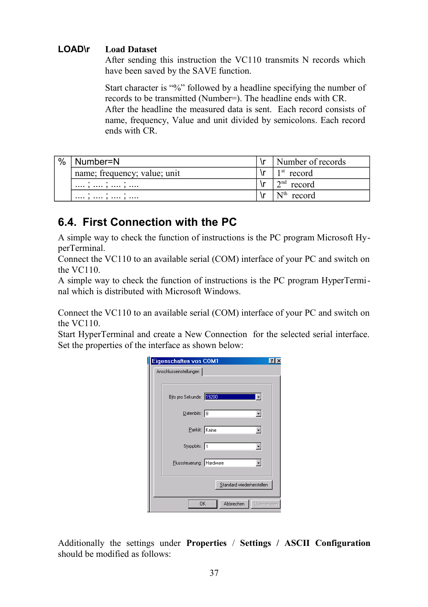#### **LOAD\r Load Dataset**

After sending this instruction the VC110 transmits N records which have been saved by the SAVE function.

Start character is "%" followed by a headline specifying the number of records to be transmitted (Number=). The headline ends with CR. After the headline the measured data is sent. Each record consists of name, frequency, Value and unit divided by semicolons. Each record ends with CR.

| $\%$ | Number=N                     | Number of records |
|------|------------------------------|-------------------|
|      | name; frequency; value; unit | $1st$ record      |
|      | . .<br>,  ,  ,               | $2nd$ record      |
|      | ,  ,  ,                      | $Nth$ record      |

## **6.4. First Connection with the PC**

A simple way to check the function of instructions is the PC program Microsoft HyperTerminal.

Connect the VC110 to an available serial (COM) interface of your PC and switch on the VC110.

A simple way to check the function of instructions is the PC program HyperTerminal which is distributed with Microsoft Windows.

Connect the VC110 to an available serial (COM) interface of your PC and switch on the VC110.

Start HyperTerminal and create a New Connection for the selected serial interface. Set the properties of the interface as shown below:

| Eigenschaften von COM1<br> 2                              |  |
|-----------------------------------------------------------|--|
| Anschlusseinstellungen                                    |  |
|                                                           |  |
| Bits pro Sekunde: 19200<br>$\left\lfloor - \right\rfloor$ |  |
| $D$ atenbits: $8$<br>$\overline{ }$                       |  |
| Parität: Keine                                            |  |
| Stoppbits: 1<br>$\overline{\phantom{a}}$                  |  |
| Elusssteuerung: Hardware<br>$\pmb{\mathsf{v}}$            |  |
| Standard wiederherstellen                                 |  |
| Übernehmen<br>Abbrechen<br>OK                             |  |

Additionally the settings under **Properties** / **Settings / ASCII Configuration** should be modified as follows: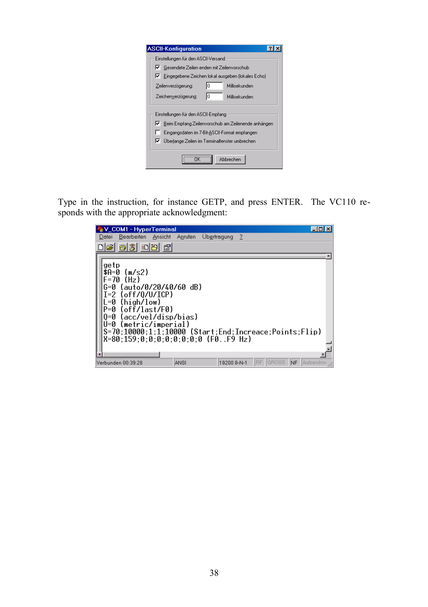| <b>ASCII-Konfiguration</b>                                                                                                                                                                              |
|---------------------------------------------------------------------------------------------------------------------------------------------------------------------------------------------------------|
| Einstellungen für den ASCII-Versand                                                                                                                                                                     |
| Gesendete Zeilen enden mit Zeilenvorschub<br>⊮                                                                                                                                                          |
| R.<br>Eingegebene Zeichen lokal ausgeben (lokales Echo)                                                                                                                                                 |
| ١ō<br>Millisekunden<br>Zeilenverzögerung:                                                                                                                                                               |
| lo<br>Zeichenverzögerung:<br>Millisekunden                                                                                                                                                              |
| Einstellungen für den ASCII-Empfang<br>Beim Empfang Zeilenvorschub am Zeilenende anhängen<br>IV.<br>Eingangsdaten im 7-Bit-ASCII-Format empfangen<br>ஈ<br>Überlange Zeilen im Terminalfenster umbrechen |
| Abbrechen                                                                                                                                                                                               |

Type in the instruction, for instance GETP, and press ENTER. The VC110 responds with the appropriate acknowledgment:

| V_COM1 - HyperTerminal<br>Bearbeiten<br>Ansicht<br>Datei                                                                                                                                                                                                                                    | Anrufen | Ubertragung<br>$\gamma$ |               |                        |
|---------------------------------------------------------------------------------------------------------------------------------------------------------------------------------------------------------------------------------------------------------------------------------------------|---------|-------------------------|---------------|------------------------|
| $\odot$ 2<br>⊪olei<br>$\mathbb{S}$                                                                                                                                                                                                                                                          |         |                         |               |                        |
| getp<br>\$A=0<br>(m/s2)<br>(H <sub>Z</sub> )<br>-70<br>(auto/0/20/40/60 dB)<br>(off/0/ U/ICP)<br>(high/low)<br>(off/last/F0)<br>>=μ<br>(acc/vel/disp/bias)<br>⊫Ø<br>(metric/imperial)<br>แ=ด<br>S=70;10000;1;1;10000 (Start;End;Increace;Points;Flip)<br>X=80:159:0:0:0:0:0:0:0:0 (F0F9 Hz) |         |                         |               |                        |
| Verbunden 00:39:28                                                                                                                                                                                                                                                                          | ANSI    | 19200 8-N-1             | IBE.<br>GROSS | <b>NF</b><br>Aufzeichn |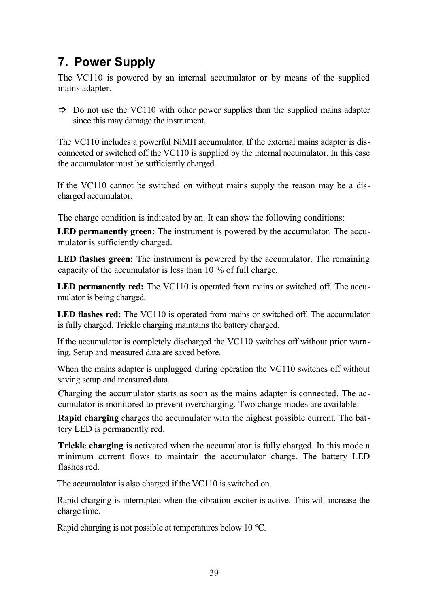# **7. Power Supply**

The VC110 is powered by an internal accumulator or by means of the supplied mains adapter.

 $\Rightarrow$  Do not use the VC110 with other power supplies than the supplied mains adapter since this may damage the instrument.

The VC110 includes a powerful NiMH accumulator. If the external mains adapter is disconnected or switched off the VC110 is supplied by the internal accumulator. In this case the accumulator must be sufficiently charged.

If the VC110 cannot be switched on without mains supply the reason may be a discharged accumulator.

The charge condition is indicated by an. It can show the following conditions:

**LED permanently green:** The instrument is powered by the accumulator. The accumulator is sufficiently charged.

**LED flashes green:** The instrument is powered by the accumulator. The remaining capacity of the accumulator is less than 10 % of full charge.

**LED permanently red:** The VC110 is operated from mains or switched off. The accumulator is being charged.

**LED flashes red:** The VC110 is operated from mains or switched off. The accumulator is fully charged. Trickle charging maintains the battery charged.

If the accumulator is completely discharged the VC110 switches off without prior warning. Setup and measured data are saved before.

When the mains adapter is unplugged during operation the VC110 switches off without saving setup and measured data.

Charging the accumulator starts as soon as the mains adapter is connected. The accumulator is monitored to prevent overcharging. Two charge modes are available:

**Rapid charging** charges the accumulator with the highest possible current. The battery LED is permanently red.

**Trickle charging** is activated when the accumulator is fully charged. In this mode a minimum current flows to maintain the accumulator charge. The battery LED flashes red.

The accumulator is also charged if the VC110 is switched on.

Rapid charging is interrupted when the vibration exciter is active. This will increase the charge time.

Rapid charging is not possible at temperatures below 10 °C.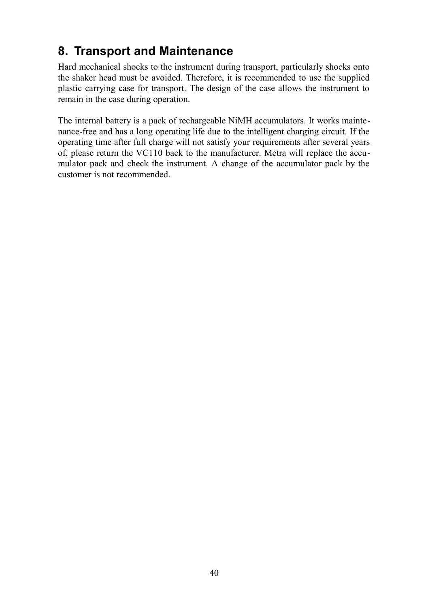# **8. Transport and Maintenance**

Hard mechanical shocks to the instrument during transport, particularly shocks onto the shaker head must be avoided. Therefore, it is recommended to use the supplied plastic carrying case for transport. The design of the case allows the instrument to remain in the case during operation.

The internal battery is a pack of rechargeable NiMH accumulators. It works maintenance-free and has a long operating life due to the intelligent charging circuit. If the operating time after full charge will not satisfy your requirements after several years of, please return the VC110 back to the manufacturer. Metra will replace the accumulator pack and check the instrument. A change of the accumulator pack by the customer is not recommended.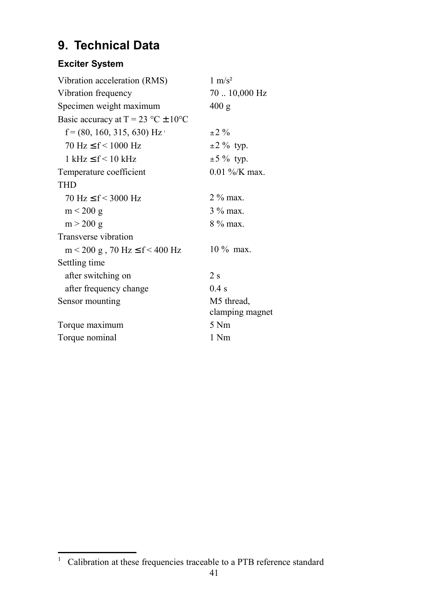# **9. Technical Data**

## **Exciter System**

| Vibration acceleration (RMS)                          | $1 \text{ m/s}^2$      |
|-------------------------------------------------------|------------------------|
| Vibration frequency                                   | $70$ $\dots$ 10,000 Hz |
| Specimen weight maximum                               | 400 g                  |
| Basic accuracy at $T = 23 \degree C \pm 10 \degree C$ |                        |
| $f = (80, 160, 315, 630)$ Hz <sup>1</sup>             | $+2.90$                |
| $70 \text{ Hz} < f < 1000 \text{ Hz}$                 | $\pm$ 2 % typ.         |
| $1 \text{ kHz} < f < 10 \text{ kHz}$                  | $\pm$ 5 % typ.         |
| Temperature coefficient                               | $0.01\%$ /K max.       |
| <b>THD</b>                                            |                        |
| $70 \text{ Hz} \leq f \leq 3000 \text{ Hz}$           | $2\%$ max.             |
| $m < 200$ g                                           | $3\%$ max.             |
| $m > 200$ g                                           | $8\%$ max.             |
| Transverse vibration                                  |                        |
| $m < 200$ g, 70 Hz $\leq f < 400$ Hz                  | $10\%$ max.            |
| Settling time                                         |                        |
| after switching on                                    | 2s                     |
| after frequency change                                | $0.4$ s                |
| Sensor mounting                                       | M5 thread,             |
|                                                       | clamping magnet        |
| Torque maximum                                        | 5 Nm                   |
| Torque nominal                                        | 1 Nm                   |

<span id="page-42-0"></span> $1$  Calibration at these frequencies traceable to a PTB reference standard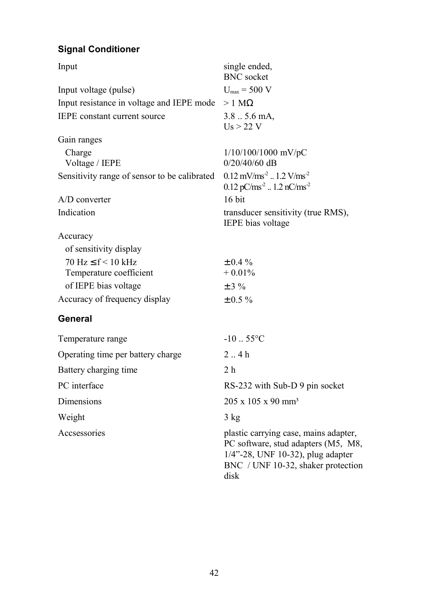## **Signal Conditioner**

| Input                                        | single ended,<br><b>BNC</b> socket                                                                                                                              |
|----------------------------------------------|-----------------------------------------------------------------------------------------------------------------------------------------------------------------|
| Input voltage (pulse)                        | $U_{\text{max}}$ = 500 V                                                                                                                                        |
| Input resistance in voltage and IEPE mode    | $>1$ M $\Omega$                                                                                                                                                 |
| <b>IEPE</b> constant current source          | $3.85.6$ mA,<br>$Us > 22$ V                                                                                                                                     |
| Gain ranges                                  |                                                                                                                                                                 |
| Charge                                       | 1/10/100/1000 mV/pC                                                                                                                                             |
| Voltage / IEPE                               | $0/20/40/60$ dB                                                                                                                                                 |
| Sensitivity range of sensor to be calibrated | $0.12 \text{ mV}/\text{ms}^2$ 1.2 V/ms <sup>2</sup><br>$0.12$ pC/ms <sup>-2</sup> 1.2 nC/ms <sup>-2</sup>                                                       |
| $A/D$ converter                              | $16$ bit                                                                                                                                                        |
| Indication                                   | transducer sensitivity (true RMS),<br>IEPE bias voltage                                                                                                         |
| Accuracy                                     |                                                                                                                                                                 |
| of sensitivity display                       |                                                                                                                                                                 |
| $70 \text{ Hz} \leq f < 10 \text{ kHz}$      | $\pm 0.4 \%$                                                                                                                                                    |
| Temperature coefficient                      | $+0.01%$                                                                                                                                                        |
| of IEPE bias voltage                         | $±$ 3 %                                                                                                                                                         |
| Accuracy of frequency display                | $\pm 0.5 \%$                                                                                                                                                    |
| General                                      |                                                                                                                                                                 |
| Temperature range                            | $-10-.55$ °C                                                                                                                                                    |
| Operating time per battery charge            | 2.4h                                                                                                                                                            |
| Battery charging time                        | 2 <sub>h</sub>                                                                                                                                                  |
| PC interface                                 | RS-232 with Sub-D 9 pin socket                                                                                                                                  |
| Dimensions                                   | 205 x 105 x 90 mm <sup>3</sup>                                                                                                                                  |
| Weight                                       | 3 kg                                                                                                                                                            |
| Accsessories                                 | plastic carrying case, mains adapter,<br>PC software, stud adapters (M5, M8,<br>1/4"-28, UNF 10-32), plug adapter<br>BNC / UNF 10-32, shaker protection<br>disk |